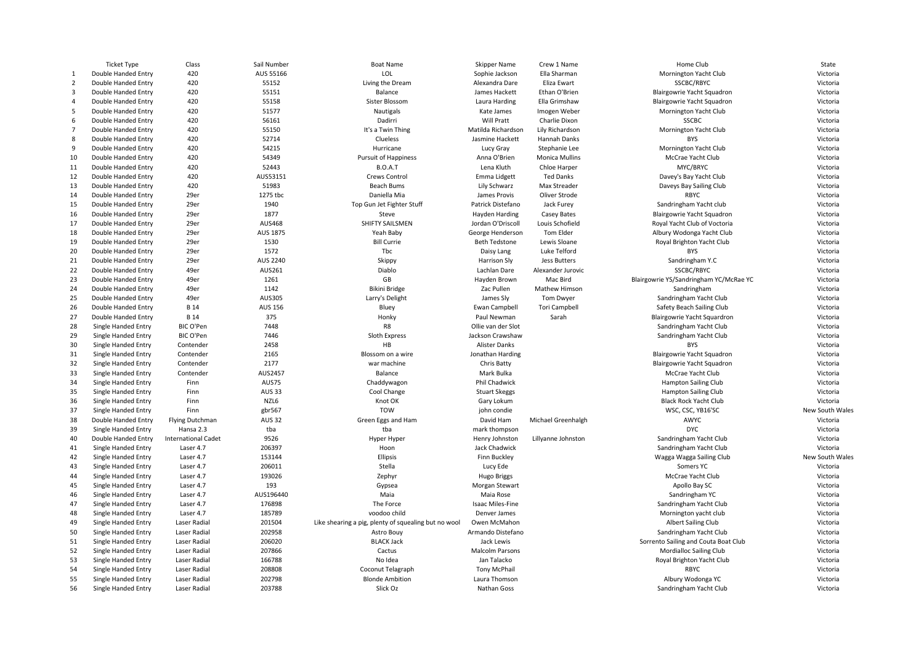|                | <b>Ticket Type</b>  | Class                      | Sail Number    | <b>Boat Name</b>                                     | <b>Skipper Name</b>     | Crew 1 Name           | Home Club                              | State           |
|----------------|---------------------|----------------------------|----------------|------------------------------------------------------|-------------------------|-----------------------|----------------------------------------|-----------------|
| 1              | Double Handed Entry | 420                        | AUS 55166      | LOL                                                  | Sophie Jackson          | Ella Sharman          | Mornington Yacht Club                  | Victoria        |
| $\overline{2}$ | Double Handed Entry | 420                        | 55152          | Living the Dream                                     | Alexandra Dare          | Eliza Ewart           | SSCBC/RBYC                             | Victoria        |
| $\overline{3}$ | Double Handed Entry | 420                        | 55151          | Balance                                              | James Hackett           | Ethan O'Brien         | Blairgowrie Yacht Squadron             | Victoria        |
| $\overline{4}$ | Double Handed Entry | 420                        | 55158          | Sister Blossom                                       | Laura Harding           | Ella Grimshaw         | Blairgowrie Yacht Squadron             | Victoria        |
| 5              | Double Handed Entry | 420                        | 51577          | <b>Nautigals</b>                                     | Kate James              | Imogen Weber          | Mornington Yacht Club                  | Victoria        |
| 6              | Double Handed Entry | 420                        | 56161          | Dadirri                                              | Will Pratt              | Charlie Dixon         | <b>SSCBC</b>                           | Victoria        |
| $\overline{7}$ | Double Handed Entry | 420                        | 55150          | It's a Twin Thing                                    | Matilda Richardson      | Lily Richardson       | Mornington Yacht Club                  | Victoria        |
| 8              | Double Handed Entry | 420                        | 52714          | Clueless                                             | Jasmine Hackett         | Hannah Danks          | <b>BYS</b>                             | Victoria        |
| 9              | Double Handed Entry | 420                        | 54215          | Hurricane                                            | Lucy Gray               | Stephanie Lee         | Mornington Yacht Club                  | Victoria        |
| 10             | Double Handed Entry | 420                        | 54349          | <b>Pursuit of Happiness</b>                          | Anna O'Brien            | <b>Monica Mullins</b> | McCrae Yacht Club                      | Victoria        |
| 11             | Double Handed Entry | 420                        | 52443          | <b>B.O.A.T</b>                                       | Lena Kluth              | Chloe Harper          | MYC/BRYC                               | Victoria        |
| 12             | Double Handed Entry | 420                        | AUS53151       | Crews Control                                        | Emma Lidgett            | <b>Ted Danks</b>      | Davey's Bay Yacht Club                 | Victoria        |
| 13             | Double Handed Entry | 420                        | 51983          | <b>Beach Bums</b>                                    | Lily Schwarz            | Max Streader          | Daveys Bay Sailing Club                | Victoria        |
| 14             | Double Handed Entry | 29er                       | 1275 tbc       | Daniella Mia                                         | James Provis            | Oliver Strode         | <b>RBYC</b>                            | Victoria        |
| 15             | Double Handed Entry | 29er                       | 1940           | Top Gun Jet Fighter Stuff                            | Patrick Distefano       | Jack Furey            | Sandringham Yacht club                 | Victoria        |
| 16             | Double Handed Entry | 29er                       | 1877           | Steve                                                | Hayden Harding          | Casey Bates           | Blairgowrie Yacht Squadron             | Victoria        |
| 17             | Double Handed Entry | 29er                       | <b>AUS468</b>  | SHIFTY SAILSMEN                                      | Jordan O'Driscoll       | Louis Schofield       | Royal Yacht Club of Voctoria           | Victoria        |
| 18             | Double Handed Entry | 29er                       | AUS 1875       | Yeah Baby                                            | George Henderson        | Tom Elder             | Albury Wodonga Yacht Club              | Victoria        |
| 19             | Double Handed Entry | 29er                       | 1530           | <b>Bill Currie</b>                                   | <b>Beth Tedstone</b>    | Lewis Sloane          |                                        | Victoria        |
|                |                     |                            |                |                                                      |                         |                       | Royal Brighton Yacht Club              |                 |
| 20             | Double Handed Entry | 29er                       | 1572           | Tbc                                                  | Daisy Lang              | Luke Telford          | <b>BYS</b>                             | Victoria        |
| 21             | Double Handed Entry | 29er                       | AUS 2240       | Skippy                                               | Harrison Sly            | Jess Butters          | Sandringham Y.C                        | Victoria        |
| 22             | Double Handed Entry | 49er                       | AUS261         | Diablo                                               | Lachlan Dare            | Alexander Jurovic     | SSCBC/RBYC                             | Victoria        |
| 23             | Double Handed Entry | 49er                       | 1261           | GB                                                   | Hayden Brown            | Mac Bird              | Blairgowrie YS/Sandringham YC/McRae YC | Victoria        |
| 24             | Double Handed Entry | 49er                       | 1142           | <b>Bikini Bridge</b>                                 | Zac Pullen              | Mathew Himson         | Sandringham                            | Victoria        |
| 25             | Double Handed Entry | 49er                       | AUS305         | Larry's Delight                                      | James Sly               | Tom Dwyer             | Sandringham Yacht Club                 | Victoria        |
| 26             | Double Handed Entry | <b>B</b> 14                | <b>AUS 156</b> | Bluey                                                | Ewan Campbell           | <b>Tori Campbell</b>  | Safety Beach Sailing Club              | Victoria        |
| 27             | Double Handed Entry | <b>B</b> 14                | 375            | Honky                                                | Paul Newman             | Sarah                 | Blairgowrie Yacht Squardron            | Victoria        |
| 28             | Single Handed Entry | BIC O'Pen                  | 7448           | R8                                                   | Ollie van der Slot      |                       | Sandringham Yacht Club                 | Victoria        |
| 29             | Single Handed Entry | BIC O'Pen                  | 7446           | Sloth Express                                        | Jackson Crawshaw        |                       | Sandringham Yacht Club                 | Victoria        |
| 30             | Single Handed Entry | Contender                  | 2458           | HB                                                   | Alister Danks           |                       | <b>BYS</b>                             | Victoria        |
| 31             | Single Handed Entry | Contender                  | 2165           | Blossom on a wire                                    | Jonathan Harding        |                       | Blairgowrie Yacht Squadron             | Victoria        |
| 32             | Single Handed Entry | Contender                  | 2177           | war machine                                          | Chris Batty             |                       | Blairgowrie Yacht Squadron             | Victoria        |
| 33             | Single Handed Entry | Contender                  | AUS2457        | Balance                                              | Mark Bulka              |                       | McCrae Yacht Club                      | Victoria        |
| 34             | Single Handed Entry | Finn                       | AUS75          | Chaddywagon                                          | Phil Chadwick           |                       | <b>Hampton Sailing Club</b>            | Victoria        |
| 35             | Single Handed Entry | Finn                       | <b>AUS 33</b>  | Cool Change                                          | <b>Stuart Skeggs</b>    |                       | <b>Hampton Sailing Club</b>            | Victoria        |
| 36             | Single Handed Entry | Finn                       | NZL6           | Knot OK                                              | Gary Lokum              |                       | <b>Black Rock Yacht Club</b>           | Victoria        |
| 37             | Single Handed Entry | Finn                       | gbr567         | TOW                                                  | john condie             |                       | WSC, CSC, YB16'SC                      | New South Wales |
| 38             | Double Handed Entry | <b>Flying Dutchman</b>     | <b>AUS 32</b>  | Green Eggs and Ham                                   | David Ham               | Michael Greenhalgh    | AWYC                                   | Victoria        |
| 39             | Single Handed Entry | Hansa 2.3                  | tba            | tba                                                  | mark thompson           |                       | <b>DYC</b>                             | Victoria        |
| 40             | Double Handed Entry | <b>International Cadet</b> | 9526           | Hyper Hyper                                          | Henry Johnston          | Lillyanne Johnston    | Sandringham Yacht Club                 | Victoria        |
| 41             | Single Handed Entry | Laser 4.7                  | 206397         | Hoon                                                 | Jack Chadwick           |                       | Sandringham Yacht Club                 | Victoria        |
| 42             | Single Handed Entry | Laser 4.7                  | 153144         | Ellipsis                                             | Finn Buckley            |                       | Wagga Wagga Sailing Club               | New South Wales |
| 43             | Single Handed Entry | Laser 4.7                  | 206011         | Stella                                               | Lucy Ede                |                       | Somers YC                              | Victoria        |
| 44             | Single Handed Entry | Laser 4.7                  | 193026         | Zephyr                                               | <b>Hugo Briggs</b>      |                       | McCrae Yacht Club                      | Victoria        |
| 45             | Single Handed Entry | Laser 4.7                  | 193            | Gypsea                                               | Morgan Stewart          |                       | Apollo Bay SC                          | Victoria        |
| 46             | Single Handed Entry | Laser 4.7                  | AUS196440      | Maia                                                 | Maia Rose               |                       | Sandringham YC                         | Victoria        |
| 47             | Single Handed Entry | Laser 4.7                  | 176898         | The Force                                            | <b>Isaac Miles-Fine</b> |                       | Sandringham Yacht Club                 | Victoria        |
| 48             | Single Handed Entry | Laser 4.7                  | 185789         | voodoo child                                         | Denver James            |                       | Mornington yacht club                  | Victoria        |
| 49             | Single Handed Entry | Laser Radial               | 201504         | Like shearing a pig, plenty of squealing but no wool | Owen McMahon            |                       | Albert Sailing Club                    | Victoria        |
| 50             | Single Handed Entry | Laser Radial               | 202958         | Astro Bouy                                           | Armando Distefano       |                       | Sandringham Yacht Club                 | Victoria        |
| 51             | Single Handed Entry | Laser Radial               | 206020         | <b>BLACK Jack</b>                                    | Jack Lewis              |                       | Sorrento Sailing and Couta Boat Club   | Victoria        |
| 52             | Single Handed Entry | Laser Radial               | 207866         | Cactus                                               | <b>Malcolm Parsons</b>  |                       | Mordialloc Sailing Club                | Victoria        |
| 53             | Single Handed Entry | Laser Radial               | 166788         | No Idea                                              | Jan Talacko             |                       | Royal Brighton Yacht Club              | Victoria        |
| 54             | Single Handed Entry | Laser Radial               | 208808         | Coconut Telagraph                                    | <b>Tony McPhail</b>     |                       | RBYC                                   | Victoria        |
| 55             | Single Handed Entry | Laser Radial               | 202798         | <b>Blonde Ambition</b>                               | Laura Thomson           |                       | Albury Wodonga YC                      | Victoria        |
| 56             | Single Handed Entry | Laser Radial               | 203788         | Slick Oz                                             | Nathan Goss             |                       | Sandringham Yacht Club                 | Victoria        |
|                |                     |                            |                |                                                      |                         |                       |                                        |                 |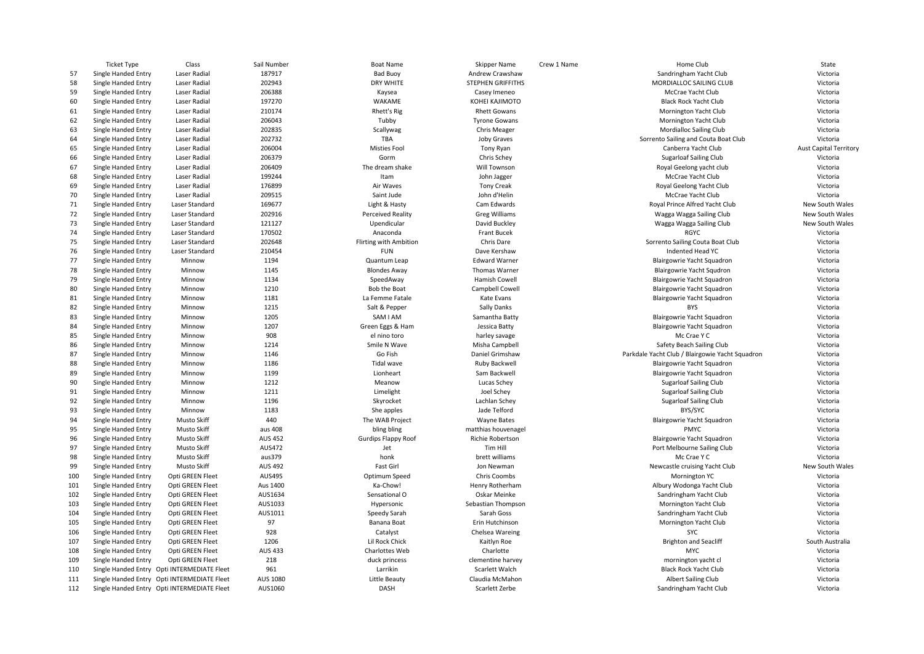|     | Ticket Type         | Class                                       | Sail Number    | Boat Name                  | Skipper Name             | Crew 1 Name | Home Club                                       | State                         |
|-----|---------------------|---------------------------------------------|----------------|----------------------------|--------------------------|-------------|-------------------------------------------------|-------------------------------|
| 57  | Single Handed Entry | Laser Radial                                | 187917         | <b>Bad Buoy</b>            | Andrew Crawshaw          |             | Sandringham Yacht Club                          | Victoria                      |
| 58  | Single Handed Entry | Laser Radial                                | 202943         | DRY WHITE                  | <b>STEPHEN GRIFFITHS</b> |             | MORDIALLOC SAILING CLUB                         | Victoria                      |
| 59  | Single Handed Entry | Laser Radial                                | 206388         | Kaysea                     | Casey Imeneo             |             | McCrae Yacht Club                               | Victoria                      |
| 60  | Single Handed Entry | Laser Radial                                | 197270         | WAKAME                     | KOHEI KAJIMOTO           |             | <b>Black Rock Yacht Club</b>                    | Victoria                      |
| 61  | Single Handed Entry | Laser Radial                                | 210174         | <b>Rhett's Rig</b>         | <b>Rhett Gowans</b>      |             | Mornington Yacht Club                           | Victoria                      |
| 62  | Single Handed Entry | Laser Radial                                | 206043         | Tubby                      | <b>Tyrone Gowans</b>     |             | Mornington Yacht Club                           | Victoria                      |
| 63  | Single Handed Entry | Laser Radial                                | 202835         | Scallywag                  | <b>Chris Meager</b>      |             | <b>Mordialloc Sailing Club</b>                  | Victoria                      |
| 64  | Single Handed Entry | Laser Radial                                | 202732         | TBA                        | Joby Graves              |             | Sorrento Sailing and Couta Boat Club            | Victoria                      |
| 65  | Single Handed Entry | Laser Radial                                | 206004         | <b>Misties Fool</b>        | Tony Ryan                |             | Canberra Yacht Club                             | <b>Aust Capital Territory</b> |
| 66  | Single Handed Entry | Laser Radial                                | 206379         | Gorm                       | Chris Schey              |             | <b>Sugarloaf Sailing Club</b>                   | Victoria                      |
| 67  | Single Handed Entry | Laser Radial                                | 206409         | The dream shake            | Will Townson             |             | Royal Geelong yacht club                        | Victoria                      |
| 68  | Single Handed Entry | Laser Radial                                | 199244         | Itam                       | John Jagger              |             | McCrae Yacht Club                               | Victoria                      |
| 69  | Single Handed Entry | Laser Radial                                | 176899         | Air Waves                  | <b>Tony Creak</b>        |             | Royal Geelong Yacht Club                        | Victoria                      |
| 70  | Single Handed Entry | Laser Radial                                | 209515         | Saint Jude                 | John d'Helin             |             | McCrae Yacht Club                               | Victoria                      |
| 71  |                     | Laser Standard                              | 169677         | Light & Hasty              | Cam Edwards              |             | Royal Prince Alfred Yacht Club                  | New South Wales               |
| 72  | Single Handed Entry |                                             | 202916         |                            | <b>Greg Williams</b>     |             |                                                 |                               |
|     | Single Handed Entry | Laser Standard                              |                | <b>Perceived Reality</b>   |                          |             | Wagga Wagga Sailing Club                        | New South Wales               |
| 73  | Single Handed Entry | Laser Standard                              | 121127         | Upendicular                | David Buckley            |             | Wagga Wagga Sailing Club                        | New South Wales               |
| 74  | Single Handed Entry | Laser Standard                              | 170502         | Anaconda                   | Frant Bucek              |             | <b>RGYC</b>                                     | Victoria                      |
| 75  | Single Handed Entry | Laser Standard                              | 202648         | Flirting with Ambition     | Chris Dare               |             | Sorrento Sailing Couta Boat Club                | Victoria                      |
| 76  | Single Handed Entry | Laser Standard                              | 210454         | <b>FUN</b>                 | Dave Kershaw             |             | Indented Head YC                                | Victoria                      |
| 77  | Single Handed Entry | Minnow                                      | 1194           | Quantum Leap               | <b>Edward Warner</b>     |             | Blairgowrie Yacht Squadron                      | Victoria                      |
| 78  | Single Handed Entry | Minnow                                      | 1145           | <b>Blondes Away</b>        | Thomas Warner            |             | <b>Blairgowrie Yacht Squdron</b>                | Victoria                      |
| 79  | Single Handed Entry | Minnow                                      | 1134           | SpeedAway                  | Hamish Cowell            |             | Blairgowrie Yacht Squadron                      | Victoria                      |
| 80  | Single Handed Entry | Minnow                                      | 1210           | Bob the Boat               | Campbell Cowell          |             | Blairgowrie Yacht Squadron                      | Victoria                      |
| 81  | Single Handed Entry | Minnow                                      | 1181           | La Femme Fatale            | Kate Evans               |             | Blairgowrie Yacht Squadron                      | Victoria                      |
| 82  | Single Handed Entry | Minnow                                      | 1215           | Salt & Pepper              | Sally Danks              |             | <b>BYS</b>                                      | Victoria                      |
| 83  | Single Handed Entry | Minnow                                      | 1205           | SAM I AM                   | Samantha Batty           |             | Blairgowrie Yacht Squadron                      | Victoria                      |
| 84  | Single Handed Entry | Minnow                                      | 1207           | Green Eggs & Ham           | Jessica Batty            |             | Blairgowrie Yacht Squadron                      | Victoria                      |
| 85  | Single Handed Entry | Minnow                                      | 908            | el nino toro               | harley savage            |             | Mc Crae Y C                                     | Victoria                      |
| 86  | Single Handed Entry | Minnow                                      | 1214           | Smile N Wave               | Misha Campbell           |             | Safety Beach Sailing Club                       | Victoria                      |
| 87  | Single Handed Entry | Minnow                                      | 1146           | Go Fish                    | Daniel Grimshaw          |             | Parkdale Yacht Club / Blairgowie Yacht Squadron | Victoria                      |
| 88  | Single Handed Entry | Minnow                                      | 1186           | Tidal wave                 | Ruby Backwell            |             | Blairgowrie Yacht Squadron                      | Victoria                      |
| 89  | Single Handed Entry | Minnow                                      | 1199           | Lionheart                  | Sam Backwell             |             | Blairgowrie Yacht Squadron                      | Victoria                      |
| 90  | Single Handed Entry | Minnow                                      | 1212           | Meanow                     | Lucas Schey              |             | <b>Sugarloaf Sailing Club</b>                   | Victoria                      |
| 91  | Single Handed Entry | Minnow                                      | 1211           | Limelight                  | Joel Schey               |             | <b>Sugarloaf Sailing Club</b>                   | Victoria                      |
| 92  | Single Handed Entry | Minnow                                      | 1196           | Skyrocket                  | Lachlan Schey            |             | <b>Sugarloaf Sailing Club</b>                   | Victoria                      |
| 93  | Single Handed Entry | Minnow                                      | 1183           | She apples                 | Jade Telford             |             | BYS/SYC                                         | Victoria                      |
| 94  | Single Handed Entry | <b>Musto Skiff</b>                          | 440            | The WAB Project            | <b>Wayne Bates</b>       |             | Blairgowrie Yacht Squadron                      | Victoria                      |
| 95  | Single Handed Entry | Musto Skiff                                 | aus 408        | bling bling                | matthias houvenagel      |             | <b>PMYC</b>                                     | Victoria                      |
| 96  | Single Handed Entry | Musto Skiff                                 | <b>AUS 452</b> | <b>Gurdips Flappy Roof</b> | <b>Richie Robertson</b>  |             | Blairgowrie Yacht Squadron                      | Victoria                      |
| 97  | Single Handed Entry | Musto Skiff                                 | AUS472         | Jet                        | Tim Hill                 |             | Port Melbourne Sailing Club                     | Victoria                      |
| 98  | Single Handed Entry | Musto Skiff                                 | aus379         | honk                       | brett williams           |             | Mc Crae Y C                                     | Victoria                      |
| 99  | Single Handed Entry | Musto Skiff                                 | <b>AUS 492</b> | Fast Girl                  | Jon Newman               |             | Newcastle cruising Yacht Club                   | New South Wales               |
| 100 | Single Handed Entry | Opti GREEN Fleet                            | <b>AUS495</b>  | Optimum Speed              | Chris Coombs             |             | Mornington YC                                   | Victoria                      |
| 101 | Single Handed Entry | Opti GREEN Fleet                            | Aus 1400       | Ka-Chow!                   | Henry Rotherham          |             | Albury Wodonga Yacht Club                       | Victoria                      |
| 102 | Single Handed Entry | Opti GREEN Fleet                            | AUS1634        | Sensational O              | Oskar Meinke             |             | Sandringham Yacht Club                          | Victoria                      |
| 103 |                     |                                             | AUS1033        |                            | Sebastian Thompson       |             |                                                 | Victoria                      |
|     | Single Handed Entry | Opti GREEN Fleet                            |                | Hypersonic                 |                          |             | Mornington Yacht Club                           |                               |
| 104 | Single Handed Entry | Opti GREEN Fleet                            | AUS1011        | Speedy Sarah               | Sarah Goss               |             | Sandringham Yacht Club                          | Victoria                      |
| 105 | Single Handed Entry | Opti GREEN Fleet                            | 97             | Banana Boat                | Erin Hutchinson          |             | Mornington Yacht Club                           | Victoria                      |
| 106 | Single Handed Entry | Opti GREEN Fleet                            | 928            | Catalyst                   | Chelsea Wareing          |             | SYC                                             | Victoria                      |
| 107 | Single Handed Entry | Opti GREEN Fleet                            | 1206           | Lil Rock Chick             | Kaitlyn Roe              |             | <b>Brighton and Seacliff</b>                    | South Australia               |
| 108 | Single Handed Entry | Opti GREEN Fleet                            | <b>AUS 433</b> | Charlottes Web             | Charlotte                |             | <b>MYC</b>                                      | Victoria                      |
| 109 | Single Handed Entry | Opti GREEN Fleet                            | 218            | duck princess              | clementine harvey        |             | mornington yacht cl                             | Victoria                      |
| 110 |                     | Single Handed Entry Opti INTERMEDIATE Fleet | 961            | Larrikin                   | Scarlett Walch           |             | <b>Black Rock Yacht Club</b>                    | Victoria                      |
| 111 |                     | Single Handed Entry Opti INTERMEDIATE Fleet | AUS 1080       | Little Beauty              | Claudia McMahon          |             | <b>Albert Sailing Club</b>                      | Victoria                      |
| 112 |                     | Single Handed Entry Opti INTERMEDIATE Fleet | AUS1060        | DASH                       | Scarlett Zerbe           |             | Sandringham Yacht Club                          | Victoria                      |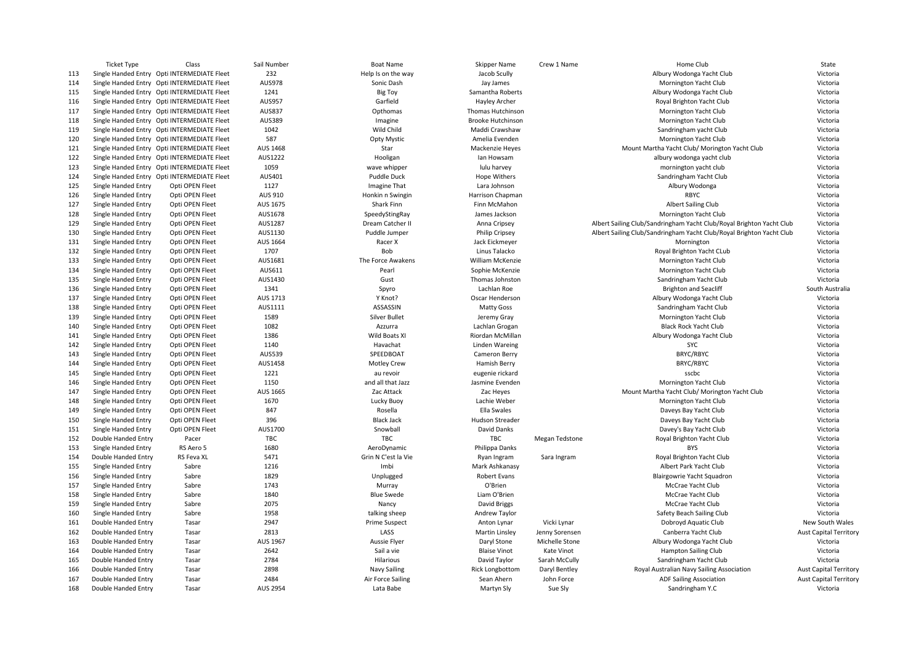|     | <b>Ticket Type</b>  | Class                                       | Sail Number     | <b>Boat Name</b>              | Skipper Name                          | Crew 1 Name    | Home Club                                                            | State                         |
|-----|---------------------|---------------------------------------------|-----------------|-------------------------------|---------------------------------------|----------------|----------------------------------------------------------------------|-------------------------------|
| 113 |                     | Single Handed Entry Opti INTERMEDIATE Fleet | 232             | Help Is on the way            | Jacob Scully                          |                | Albury Wodonga Yacht Club                                            | Victoria                      |
| 114 |                     | Single Handed Entry Opti INTERMEDIATE Fleet | <b>AUS978</b>   | Sonic Dash                    | Jay James                             |                | Mornington Yacht Club                                                | Victoria                      |
| 115 |                     | Single Handed Entry Opti INTERMEDIATE Fleet | 1241            | <b>Big Toy</b>                | Samantha Roberts                      |                | Albury Wodonga Yacht Club                                            | Victoria                      |
| 116 |                     | Single Handed Entry Opti INTERMEDIATE Fleet | <b>AUS957</b>   | Garfield                      | Hayley Archer                         |                | Royal Brighton Yacht Club                                            | Victoria                      |
| 117 |                     | Single Handed Entry Opti INTERMEDIATE Fleet | <b>AUS837</b>   | Opthomas                      | Thomas Hutchinson                     |                | Mornington Yacht Club                                                | Victoria                      |
| 118 |                     | Single Handed Entry Opti INTERMEDIATE Fleet | <b>AUS389</b>   | Imagine                       | <b>Brooke Hutchinson</b>              |                | Mornington Yacht Club                                                | Victoria                      |
| 119 |                     | Single Handed Entry Opti INTERMEDIATE Fleet | 1042            | Wild Child                    | Maddi Crawshaw                        |                | Sandringham yacht Club                                               | Victoria                      |
| 120 |                     | Single Handed Entry Opti INTERMEDIATE Fleet | 587             | <b>Opty Mystic</b>            | Amelia Evenden                        |                | Mornington Yacht Club                                                | Victoria                      |
| 121 |                     | Single Handed Entry Opti INTERMEDIATE Fleet | AUS 1468        | Star                          | Mackenzie Heyes                       |                | Mount Martha Yacht Club/ Morington Yacht Club                        | Victoria                      |
| 122 |                     | Single Handed Entry Opti INTERMEDIATE Fleet | AUS1222         | Hooligan                      | lan Howsam                            |                | albury wodonga yacht club                                            | Victoria                      |
| 123 |                     | Single Handed Entry Opti INTERMEDIATE Fleet | 1059            | wave whipper                  | lulu harvey                           |                | mornington yacht club                                                | Victoria                      |
| 124 |                     | Single Handed Entry Opti INTERMEDIATE Fleet | AUS401          | Puddle Duck                   | <b>Hope Withers</b>                   |                | Sandringham Yacht Club                                               | Victoria                      |
| 125 | Single Handed Entry | Opti OPEN Fleet                             | 1127            | Imagine That                  | Lara Johnson                          |                | Albury Wodonga                                                       | Victoria                      |
| 126 | Single Handed Entry | Opti OPEN Fleet                             | AUS 910         | Honkin n Swingin              | Harrison Chapman                      |                | RBYC                                                                 | Victoria                      |
| 127 | Single Handed Entry | Opti OPEN Fleet                             | AUS 1675        | Shark Finn                    | Finn McMahon                          |                | Albert Sailing Club                                                  | Victoria                      |
| 128 | Single Handed Entry | Opti OPEN Fleet                             | AUS1678         | SpeedyStingRay                | James Jackson                         |                | Mornington Yacht Club                                                | Victoria                      |
| 129 | Single Handed Entry | Opti OPEN Fleet                             | AUS1287         | Dream Catcher I               | Anna Cripsey                          |                | Albert Sailing Club/Sandringham Yacht Club/Royal Brighton Yacht Club | Victoria                      |
| 130 | Single Handed Entry | Opti OPEN Fleet                             | AUS1130         | Puddle Jumper                 | Philip Cripsey                        |                | Albert Sailing Club/Sandringham Yacht Club/Royal Brighton Yacht Club | Victoria                      |
| 131 | Single Handed Entry | Opti OPEN Fleet                             | AUS 1664        | Racer X                       | Jack Eickmeyer                        |                | Mornington                                                           | Victoria                      |
| 132 | Single Handed Entry | Opti OPEN Fleet                             | 1707            | Bob                           | Linus Talacko                         |                | Royal Brighton Yacht CLub                                            | Victoria                      |
| 133 | Single Handed Entry | Opti OPEN Fleet                             | AUS1681         | The Force Awakens             | <b>William McKenzie</b>               |                | Mornington Yacht Club                                                | Victoria                      |
| 134 | Single Handed Entry | Opti OPEN Fleet                             | AUS611          | Pearl                         | Sophie McKenzie                       |                | Mornington Yacht Club                                                | Victoria                      |
| 135 | Single Handed Entry | Opti OPEN Fleet                             | AUS1430         | Gust                          | Thomas Johnston                       |                | Sandringham Yacht Club                                               | Victoria                      |
| 136 | Single Handed Entry | Opti OPEN Fleet                             | 1341            | Spyro                         | Lachlan Roe                           |                | <b>Brighton and Seacliff</b>                                         | South Australia               |
| 137 | Single Handed Entry | Opti OPEN Fleet                             | AUS 1713        | Y Knot?                       | Oscar Henderson                       |                | Albury Wodonga Yacht Club                                            | Victoria                      |
| 138 | Single Handed Entry | Opti OPEN Fleet                             | AUS1111         | ASSASSIN                      | Matty Goss                            |                | Sandringham Yacht Club                                               | Victoria                      |
| 139 | Single Handed Entry | Opti OPEN Fleet                             | 1589            | <b>Silver Bullet</b>          | Jeremy Gray                           |                | Mornington Yacht Club                                                | Victoria                      |
| 140 | Single Handed Entry | Opti OPEN Fleet                             | 1082            | Azzurra                       | Lachlan Grogan                        |                | <b>Black Rock Yacht Club</b>                                         | Victoria                      |
| 141 | Single Handed Entry | Opti OPEN Fleet                             | 1386            | Wild Boats XI                 | Riordan McMillan                      |                | Albury Wodonga Yacht Club                                            | Victoria                      |
| 142 | Single Handed Entry | Opti OPEN Fleet                             | 1140            | Havachat                      | <b>Linden Wareing</b>                 |                | SYC                                                                  | Victoria                      |
| 143 | Single Handed Entry | Opti OPEN Fleet                             | AUS539          | SPEEDBOAT                     | Cameron Berry                         |                | <b>BRYC/RBYC</b>                                                     | Victoria                      |
| 144 | Single Handed Entry | Opti OPEN Fleet                             | AUS1458         | <b>Motley Crew</b>            | Hamish Berry                          |                | BRYC/RBYC                                                            | Victoria                      |
| 145 | Single Handed Entry | Opti OPEN Fleet                             | 1221            | au revoir                     | eugenie rickard                       |                | sscbc                                                                | Victoria                      |
| 146 | Single Handed Entry | Opti OPEN Fleet                             | 1150            | and all that Jazz             | Jasmine Evenden                       |                | Mornington Yacht Club                                                | Victoria                      |
| 147 | Single Handed Entry | Opti OPEN Fleet                             | AUS 1665        | Zac Attack                    | Zac Heyes                             |                | Mount Martha Yacht Club/ Morington Yacht Club                        | Victoria                      |
| 148 | Single Handed Entry | Opti OPEN Fleet                             | 1670            |                               | Lachie Weber                          |                | Mornington Yacht Club                                                | Victoria                      |
| 149 |                     | Opti OPEN Fleet                             | 847             | Lucky Buoy<br>Rosella         | Ella Swales                           |                | Daveys Bay Yacht Club                                                | Victoria                      |
|     | Single Handed Entry |                                             |                 |                               |                                       |                |                                                                      |                               |
| 150 | Single Handed Entry | Opti OPEN Fleet                             | 396             | <b>Black Jack</b><br>Snowball | <b>Hudson Streader</b><br>David Danks |                | Daveys Bay Yacht Club                                                | Victoria<br>Victoria          |
| 151 | Single Handed Entry | Opti OPEN Fleet                             | AUS1700         |                               |                                       |                | Davey's Bay Yacht Club                                               |                               |
| 152 | Double Handed Entry | Pacer                                       | TBC             | TBC                           | TBC                                   | Megan Tedstone | Royal Brighton Yacht Club                                            | Victoria                      |
| 153 | Single Handed Entry | RS Aero 5                                   | 1680<br>5471    | AeroDynamic                   | Philippa Danks                        |                | <b>BYS</b>                                                           | Victoria                      |
| 154 | Double Handed Entry | RS Feva XL                                  |                 | Grin N C'est la Vie           | Ryan Ingram                           | Sara Ingram    | Royal Brighton Yacht Club                                            | Victoria                      |
| 155 | Single Handed Entry | Sabre                                       | 1216            | Imbi                          | Mark Ashkanasy                        |                | Albert Park Yacht Club                                               | Victoria                      |
| 156 | Single Handed Entry | Sabre                                       | 1829            | Unplugged                     | Robert Evans                          |                | Blairgowrie Yacht Squadron                                           | Victoria                      |
| 157 | Single Handed Entry | Sabre                                       | 1743            | Murray                        | O'Brien                               |                | McCrae Yacht Club                                                    | Victoria                      |
| 158 | Single Handed Entry | Sabre                                       | 1840            | <b>Blue Swede</b>             | Liam O'Brien                          |                | McCrae Yacht Club                                                    | Victoria                      |
| 159 | Single Handed Entry | Sabre                                       | 2075            | Nancy                         | David Briggs                          |                | McCrae Yacht Club                                                    | Victoria                      |
| 160 | Single Handed Entry | Sabre                                       | 1958            | talking sheep                 | Andrew Taylor                         |                | Safety Beach Sailing Club                                            | Victoria                      |
| 161 | Double Handed Entry | Tasar                                       | 2947            | <b>Prime Suspect</b>          | Anton Lynar                           | Vicki Lynar    | Dobroyd Aquatic Club                                                 | New South Wales               |
| 162 | Double Handed Entry | Tasar                                       | 2813            | LASS                          | Martin Linsley                        | Jenny Sorensen | Canberra Yacht Club                                                  | <b>Aust Capital Territory</b> |
| 163 | Double Handed Entry | Tasar                                       | AUS 1967        | Aussie Flyer                  | Daryl Stone                           | Michelle Stone | Albury Wodonga Yacht Club                                            | Victoria                      |
| 164 | Double Handed Entry | Tasar                                       | 2642            | Sail a vie                    | <b>Blaise Vinot</b>                   | Kate Vinot     | <b>Hampton Sailing Club</b>                                          | Victoria                      |
| 165 | Double Handed Entry | Tasar                                       | 2784            | Hilarious                     | David Taylor                          | Sarah McCully  | Sandringham Yacht Club                                               | Victoria                      |
| 166 | Double Handed Entry | Tasar                                       | 2898            | Navy Sailing                  | <b>Rick Longbottom</b>                | Daryl Bentley  | Royal Australian Navy Sailing Association                            | <b>Aust Capital Territory</b> |
| 167 | Double Handed Entry | Tasar                                       | 2484            | Air Force Sailing             | Sean Ahern                            | John Force     | <b>ADF Sailing Association</b>                                       | <b>Aust Capital Territory</b> |
| 168 | Double Handed Entry | Tasar                                       | <b>AUS 2954</b> | Lata Babe                     | Martyn Sly                            | Sue Sly        | Sandringham Y.C                                                      | Victoria                      |